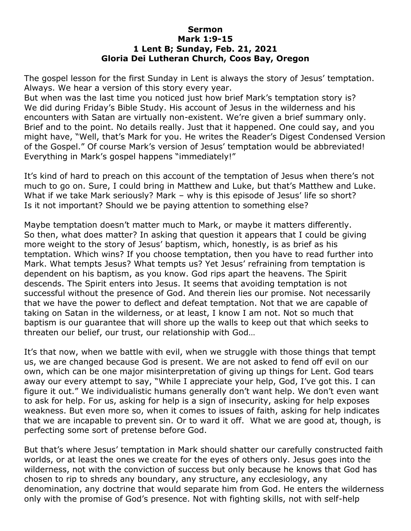## **Sermon Mark 1:9-15 1 Lent B; Sunday, Feb. 21, 2021 Gloria Dei Lutheran Church, Coos Bay, Oregon**

The gospel lesson for the first Sunday in Lent is always the story of Jesus' temptation. Always. We hear a version of this story every year.

But when was the last time you noticed just how brief Mark's temptation story is? We did during Friday's Bible Study. His account of Jesus in the wilderness and his encounters with Satan are virtually non-existent. We're given a brief summary only. Brief and to the point. No details really. Just that it happened. One could say, and you might have, "Well, that's Mark for you. He writes the Reader's Digest Condensed Version of the Gospel." Of course Mark's version of Jesus' temptation would be abbreviated! Everything in Mark's gospel happens "immediately!"

It's kind of hard to preach on this account of the temptation of Jesus when there's not much to go on. Sure, I could bring in Matthew and Luke, but that's Matthew and Luke. What if we take Mark seriously? Mark – why is this episode of Jesus' life so short? Is it not important? Should we be paying attention to something else?

Maybe temptation doesn't matter much to Mark, or maybe it matters differently. So then, what does matter? In asking that question it appears that I could be giving more weight to the story of Jesus' baptism, which, honestly, is as brief as his temptation. Which wins? If you choose temptation, then you have to read further into Mark. What tempts Jesus? What tempts us? Yet Jesus' refraining from temptation is dependent on his baptism, as you know. God rips apart the heavens. The Spirit descends. The Spirit enters into Jesus. It seems that avoiding temptation is not successful without the presence of God. And therein lies our promise. Not necessarily that we have the power to deflect and defeat temptation. Not that we are capable of taking on Satan in the wilderness, or at least, I know I am not. Not so much that baptism is our guarantee that will shore up the walls to keep out that which seeks to threaten our belief, our trust, our relationship with God…

It's that now, when we battle with evil, when we struggle with those things that tempt us, we are changed because God is present. We are not asked to fend off evil on our own, which can be one major misinterpretation of giving up things for Lent. God tears away our every attempt to say, "While I appreciate your help, God, I've got this. I can figure it out." We individualistic humans generally don't want help. We don't even want to ask for help. For us, asking for help is a sign of insecurity, asking for help exposes weakness. But even more so, when it comes to issues of faith, asking for help indicates that we are incapable to prevent sin. Or to ward it off. What we are good at, though, is perfecting some sort of pretense before God.

But that's where Jesus' temptation in Mark should shatter our carefully constructed faith worlds, or at least the ones we create for the eyes of others only. Jesus goes into the wilderness, not with the conviction of success but only because he knows that God has chosen to rip to shreds any boundary, any structure, any ecclesiology, any denomination, any doctrine that would separate him from God. He enters the wilderness only with the promise of God's presence. Not with fighting skills, not with self-help